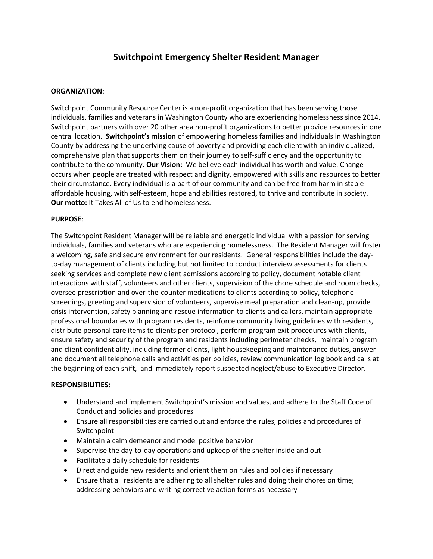# **Switchpoint Emergency Shelter Resident Manager**

#### **ORGANIZATION**:

Switchpoint Community Resource Center is a non-profit organization that has been serving those individuals, families and veterans in Washington County who are experiencing homelessness since 2014. Switchpoint partners with over 20 other area non-profit organizations to better provide resources in one central location. **Switchpoint's mission** of empowering homeless families and individuals in Washington County by addressing the underlying cause of poverty and providing each client with an individualized, comprehensive plan that supports them on their journey to self-sufficiency and the opportunity to contribute to the community. **Our Vision:** We believe each individual has worth and value. Change occurs when people are treated with respect and dignity, empowered with skills and resources to better their circumstance. Every individual is a part of our community and can be free from harm in stable affordable housing, with self-esteem, hope and abilities restored, to thrive and contribute in society. **Our motto:** It Takes All of Us to end homelessness.

### **PURPOSE**:

The Switchpoint Resident Manager will be reliable and energetic individual with a passion for serving individuals, families and veterans who are experiencing homelessness. The Resident Manager will foster a welcoming, safe and secure environment for our residents. General responsibilities include the dayto-day management of clients including but not limited to conduct interview assessments for clients seeking services and complete new client admissions according to policy, document notable client interactions with staff, volunteers and other clients, supervision of the chore schedule and room checks, oversee prescription and over-the-counter medications to clients according to policy, telephone screenings, greeting and supervision of volunteers, supervise meal preparation and clean-up, provide crisis intervention, safety planning and rescue information to clients and callers, maintain appropriate professional boundaries with program residents, reinforce community living guidelines with residents, distribute personal care items to clients per protocol, perform program exit procedures with clients, ensure safety and security of the program and residents including perimeter checks, maintain program and client confidentiality, including former clients, light housekeeping and maintenance duties, answer and document all telephone calls and activities per policies, review communication log book and calls at the beginning of each shift, and immediately report suspected neglect/abuse to Executive Director.

#### **RESPONSIBILITIES:**

- Understand and implement Switchpoint's mission and values, and adhere to the Staff Code of Conduct and policies and procedures
- Ensure all responsibilities are carried out and enforce the rules, policies and procedures of Switchpoint
- Maintain a calm demeanor and model positive behavior
- Supervise the day-to-day operations and upkeep of the shelter inside and out
- Facilitate a daily schedule for residents
- Direct and guide new residents and orient them on rules and policies if necessary
- Ensure that all residents are adhering to all shelter rules and doing their chores on time; addressing behaviors and writing corrective action forms as necessary